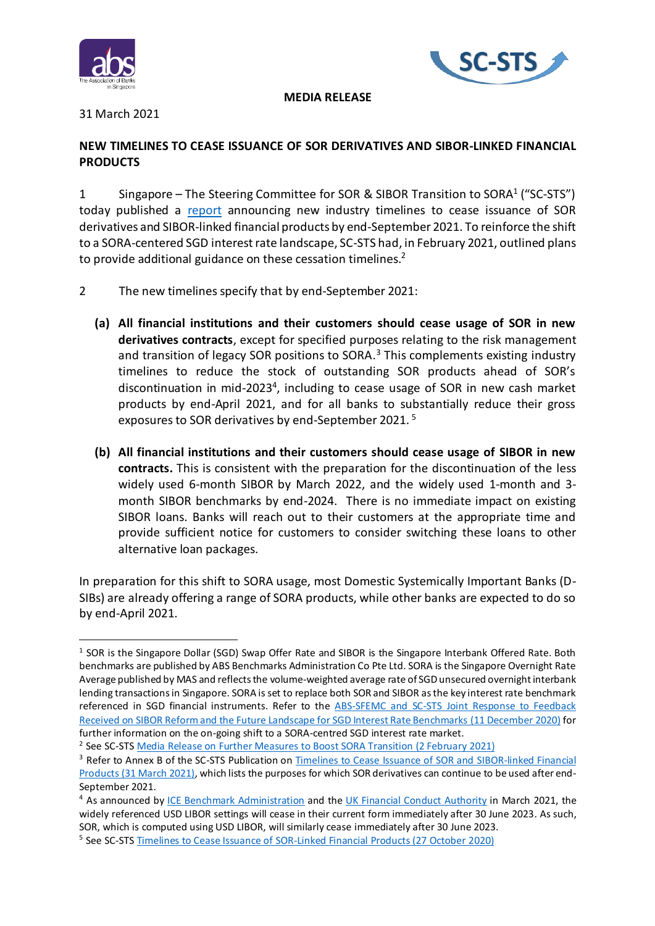



#### **MEDIA RELEASE**

# 31 March 2021

# **NEW TIMELINES TO CEASE ISSUANCE OF SOR DERIVATIVES AND SIBOR-LINKED FINANCIAL PRODUCTS**

1 Singapore – The Steering Committee for SOR & SIBOR Transition to SORA<sup>1</sup> ("SC-STS") today published a [report](https://abs.org.sg/docs/library/timelines-to-cease-issuance-of-sor-derivatives-and-sibor-linked-financial-products.pdf) announcing new industry timelines to cease issuance of SOR derivatives and SIBOR-linked financial products by end-September 2021. To reinforce the shift to a SORA-centered SGD interest rate landscape, SC-STS had, in February 2021, outlined plans to provide additional guidance on these cessation timelines.<sup>2</sup>

- 2 The new timelines specify that by end-September 2021:
	- **(a) All financial institutions and their customers should cease usage of SOR in new derivatives contracts**, except for specified purposes relating to the risk management and transition of legacy SOR positions to SORA.<sup>3</sup> This complements existing industry timelines to reduce the stock of outstanding SOR products ahead of SOR's discontinuation in mid-2023<sup>4</sup>, including to cease usage of SOR in new cash market products by end-April 2021, and for all banks to substantially reduce their gross exposures to SOR derivatives by end-September 2021. 5
	- **(b) All financial institutions and their customers should cease usage of SIBOR in new contracts.** This is consistent with the preparation for the discontinuation of the less widely used 6-month SIBOR by March 2022, and the widely used 1-month and 3 month SIBOR benchmarks by end-2024. There is no immediate impact on existing SIBOR loans. Banks will reach out to their customers at the appropriate time and provide sufficient notice for customers to consider switching these loans to other alternative loan packages.

In preparation for this shift to SORA usage, most Domestic Systemically Important Banks (D-SIBs) are already offering a range of SORA products, while other banks are expected to do so by end-April 2021.

<sup>&</sup>lt;sup>1</sup> SOR is the Singapore Dollar (SGD) Swap Offer Rate and SIBOR is the Singapore Interbank Offered Rate. Both benchmarks are published by ABS Benchmarks Administration Co Pte Ltd. SORA is the Singapore Overnight Rate Average published by MAS and reflects the volume-weighted average rate of SGD unsecured overnight interbank lending transactions in Singapore. SORA is set to replace both SOR and SIBOR as the key interest rate benchmark referenced in SGD financial instruments. Refer to the [ABS-SFEMC and SC-STS Joint Response to Feedback](https://www.abs.org.sg/docs/library/response-to-feedback-sibor-reform-and-the-future-landscape-for-sgd-interest-rate-benchmarks.pdf)  [Received on SIBOR Reform and the Future Landscape for SGD Interest Rate Benchmarks](https://www.abs.org.sg/docs/library/response-to-feedback-sibor-reform-and-the-future-landscape-for-sgd-interest-rate-benchmarks.pdf) (11 December 2020) for further information on the on-going shift to a SORA-centred SGD interest rate market.

<sup>&</sup>lt;sup>2</sup> See SC-STS [Media Release on Further Measures to Boost SORA Transition \(2 February 2021\)](https://www.abs.org.sg/docs/library/media-release-for-sc-sts-transition-roadmap.pdf)

<sup>3</sup> Refer to Annex B of the SC-STS Publication on Timelines to Cease Issuance of [SOR and SIBOR-linked Financial](https://abs.org.sg/docs/library/timelines-to-cease-issuance-of-sor-derivatives-and-sibor-linked-financial-products.pdf)  [Products \(31 March 2021\),](https://abs.org.sg/docs/library/timelines-to-cease-issuance-of-sor-derivatives-and-sibor-linked-financial-products.pdf) which lists the purposes for which SOR derivatives can continue to be used after end-September 2021.

<sup>&</sup>lt;sup>4</sup> As announced b[y ICE Benchmark Administration](https://www.theice.com/publicdocs/ICE_LIBOR_feedback_statement_on_consultation_on_potential_cessation.pdf) and th[e UK Financial Conduct Authority](https://www.fca.org.uk/news/press-releases/announcements-end-libor) in March 2021, the widely referenced USD LIBOR settings will cease in their current form immediately after 30 June 2023. As such, SOR, which is computed using USD LIBOR, will similarly cease immediately after 30 June 2023.

<sup>&</sup>lt;sup>5</sup> See SC-STS **Timelines to Cease Issuance of SOR-Linked Financial Products (27 October 2020)**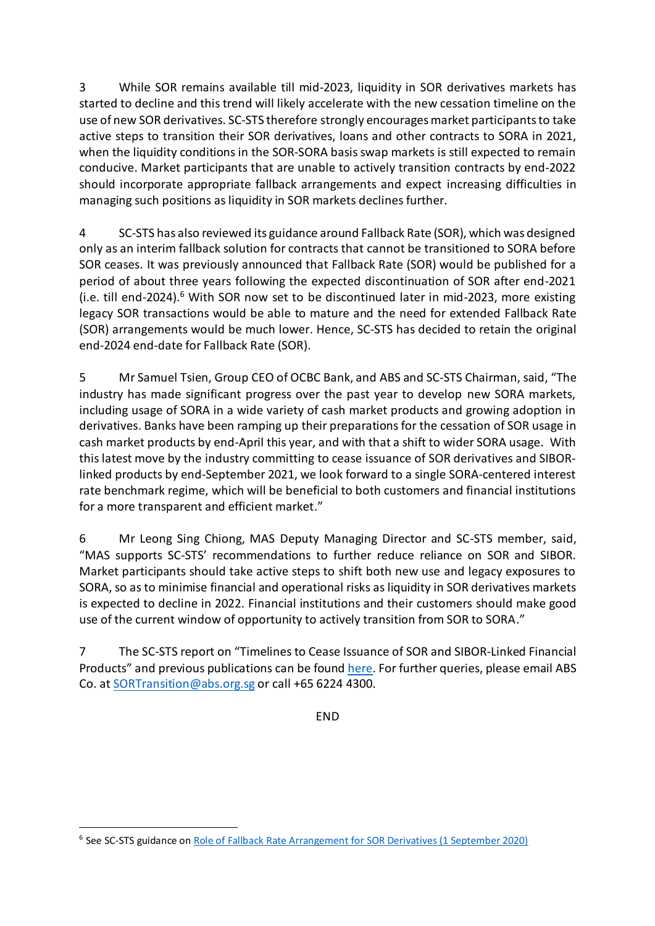3 While SOR remains available till mid-2023, liquidity in SOR derivatives markets has started to decline and this trend will likely accelerate with the new cessation timeline on the use of new SOR derivatives. SC-STS therefore strongly encourages market participants to take active steps to transition their SOR derivatives, loans and other contracts to SORA in 2021, when the liquidity conditions in the SOR-SORA basis swap markets is still expected to remain conducive. Market participants that are unable to actively transition contracts by end-2022 should incorporate appropriate fallback arrangements and expect increasing difficulties in managing such positions as liquidity in SOR markets declines further.

4 SC-STS has also reviewed its guidance around Fallback Rate (SOR), which was designed only as an interim fallback solution for contracts that cannot be transitioned to SORA before SOR ceases. It was previously announced that Fallback Rate (SOR) would be published for a period of about three years following the expected discontinuation of SOR after end-2021 (i.e. till end-2024). <sup>6</sup> With SOR now set to be discontinued later in mid-2023, more existing legacy SOR transactions would be able to mature and the need for extended Fallback Rate (SOR) arrangements would be much lower. Hence, SC-STS has decided to retain the original end-2024 end-date for Fallback Rate (SOR).

5 Mr Samuel Tsien, Group CEO of OCBC Bank, and ABS and SC-STS Chairman, said, "The industry has made significant progress over the past year to develop new SORA markets, including usage of SORA in a wide variety of cash market products and growing adoption in derivatives. Banks have been ramping up their preparations for the cessation of SOR usage in cash market products by end-April this year, and with that a shift to wider SORA usage. With this latest move by the industry committing to cease issuance of SOR derivatives and SIBORlinked products by end-September 2021, we look forward to a single SORA-centered interest rate benchmark regime, which will be beneficial to both customers and financial institutions for a more transparent and efficient market."

6 Mr Leong Sing Chiong, MAS Deputy Managing Director and SC-STS member, said, "MAS supports SC-STS' recommendations to further reduce reliance on SOR and SIBOR. Market participants should take active steps to shift both new use and legacy exposures to SORA, so as to minimise financial and operational risks as liquidity in SOR derivatives markets is expected to decline in 2022. Financial institutions and their customers should make good use of the current window of opportunity to actively transition from SOR to SORA."

7 The SC-STS report on "Timelines to Cease Issuance of SOR and SIBOR-Linked Financial Products" and previous publications can be foun[d here.](https://abs.org.sg/benchmark-rates/publication) For further queries, please email ABS Co. at [SORTransition@abs.org.sg](mailto:SORTransition@abs.org.sg) or call +65 6224 4300.

END

<sup>&</sup>lt;sup>6</sup> See SC-STS guidance o[n Role of Fallback Rate Arrangement for SOR Derivatives \(1 September 2020\)](https://abs.org.sg/docs/library/sc-sts-outlines-role-of-fallback-rate-arrangements-for-sor-derivatives.pdf)